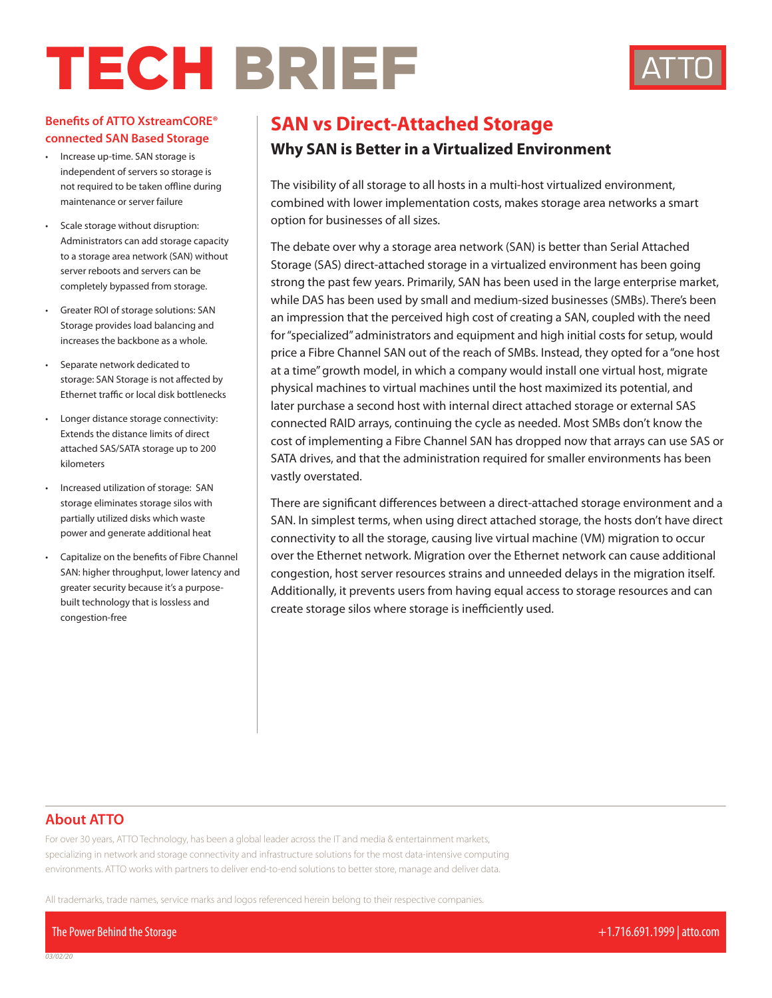# TECH BRIEF



### **Benefits of ATTO XstreamCORE® connected SAN Based Storage**

- Increase up-time. SAN storage is independent of servers so storage is not required to be taken offline during maintenance or server failure
- Scale storage without disruption: Administrators can add storage capacity to a storage area network (SAN) without server reboots and servers can be completely bypassed from storage.
- Greater ROI of storage solutions: SAN Storage provides load balancing and increases the backbone as a whole.
- Separate network dedicated to storage: SAN Storage is not affected by Ethernet traffic or local disk bottlenecks
- Longer distance storage connectivity: Extends the distance limits of direct attached SAS/SATA storage up to 200 kilometers
- Increased utilization of storage: SAN storage eliminates storage silos with partially utilized disks which waste power and generate additional heat
- Capitalize on the benefits of Fibre Channel SAN: higher throughput, lower latency and greater security because it's a purposebuilt technology that is lossless and congestion-free

## **SAN vs Direct-Attached Storage**

## **Why SAN is Better in a Virtualized Environment**

The visibility of all storage to all hosts in a multi-host virtualized environment, combined with lower implementation costs, makes storage area networks a smart option for businesses of all sizes.

The debate over why a storage area network (SAN) is better than Serial Attached Storage (SAS) direct-attached storage in a virtualized environment has been going strong the past few years. Primarily, SAN has been used in the large enterprise market, while DAS has been used by small and medium-sized businesses (SMBs). There's been an impression that the perceived high cost of creating a SAN, coupled with the need for "specialized" administrators and equipment and high initial costs for setup, would price a Fibre Channel SAN out of the reach of SMBs. Instead, they opted for a "one host at a time" growth model, in which a company would install one virtual host, migrate physical machines to virtual machines until the host maximized its potential, and later purchase a second host with internal direct attached storage or external SAS connected RAID arrays, continuing the cycle as needed. Most SMBs don't know the cost of implementing a Fibre Channel SAN has dropped now that arrays can use SAS or SATA drives, and that the administration required for smaller environments has been vastly overstated.

There are significant differences between a direct-attached storage environment and a SAN. In simplest terms, when using direct attached storage, the hosts don't have direct connectivity to all the storage, causing live virtual machine (VM) migration to occur over the Ethernet network. Migration over the Ethernet network can cause additional congestion, host server resources strains and unneeded delays in the migration itself. Additionally, it prevents users from having equal access to storage resources and can create storage silos where storage is inefficiently used.

## **About ATTO**

For over 30 years, ATTO Technology, has been a global leader across the IT and media & entertainment markets, specializing in network and storage connectivity and infrastructure solutions for the most data-intensive computing environments. ATTO works with partners to deliver end-to-end solutions to better store, manage and deliver data.

All trademarks, trade names, service marks and logos referenced herein belong to their respective companies.

The Power Behind the Storage +1.716.691.1999 | atto.com

*03/02/20*